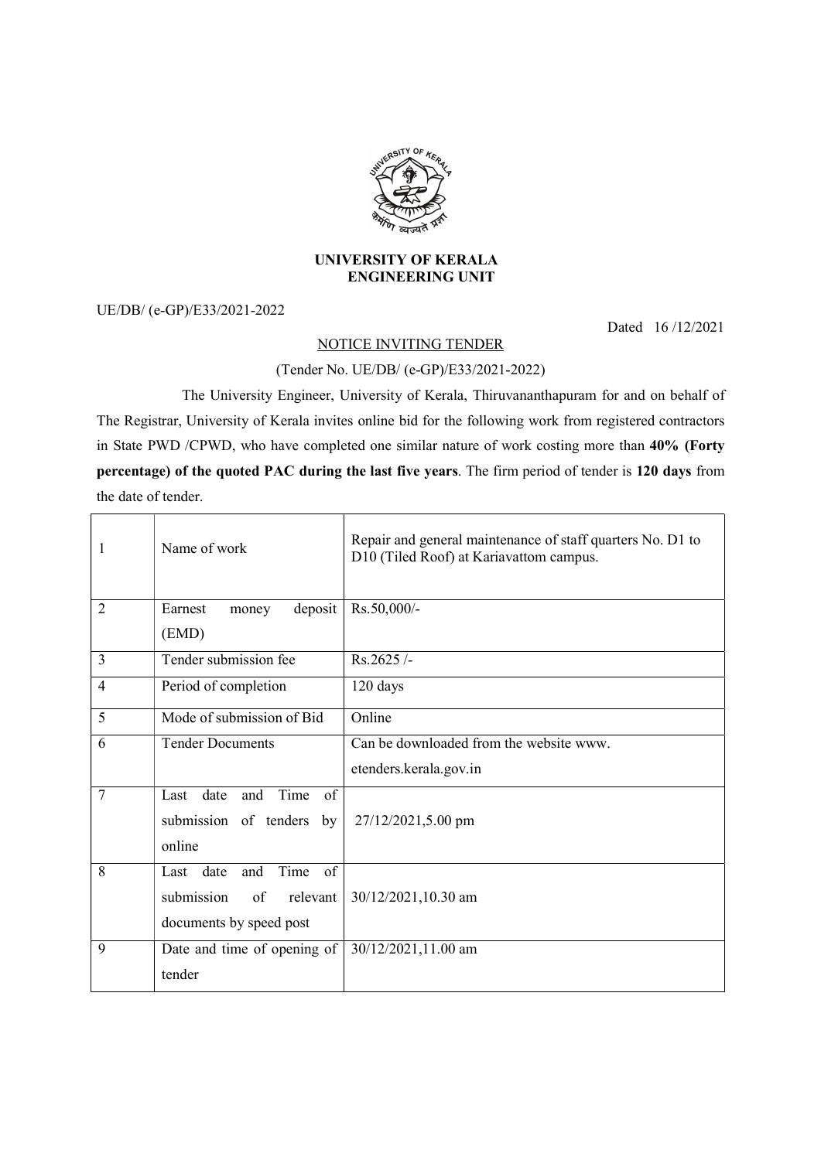

## UNIVERSITY OF KERALA ENGINEERING UNIT

UE/DB/ (e-GP)/E33/2021-2022

Dated 16 /12/2021

## NOTICE INVITING TENDER

## (Tender No. UE/DB/ (e-GP)/E33/2021-2022)

 The University Engineer, University of Kerala, Thiruvananthapuram for and on behalf of The Registrar, University of Kerala invites online bid for the following work from registered contractors in State PWD /CPWD, who have completed one similar nature of work costing more than 40% (Forty percentage) of the quoted PAC during the last five years. The firm period of tender is 120 days from the date of tender.

| 1              | Name of work                                                                              | Repair and general maintenance of staff quarters No. D1 to<br>D10 (Tiled Roof) at Kariavattom campus. |
|----------------|-------------------------------------------------------------------------------------------|-------------------------------------------------------------------------------------------------------|
| $\overline{2}$ | deposit<br>Earnest<br>money<br>(EMD)                                                      | Rs.50,000/-                                                                                           |
| 3              | Tender submission fee                                                                     | Rs.2625/-                                                                                             |
| 4              | Period of completion                                                                      | 120 days                                                                                              |
| 5              | Mode of submission of Bid                                                                 | Online                                                                                                |
| 6              | <b>Tender Documents</b>                                                                   | Can be downloaded from the website www.                                                               |
|                |                                                                                           | etenders.kerala.gov.in                                                                                |
| $\overline{7}$ | Last date<br>Time<br>and<br>of<br>submission of tenders by<br>online                      | 27/12/2021,5.00 pm                                                                                    |
| 8              | Time<br>Last date<br>and<br>of<br>submission<br>of<br>relevant<br>documents by speed post | 30/12/2021,10.30 am                                                                                   |
| 9              | Date and time of opening of<br>tender                                                     | 30/12/2021,11.00 am                                                                                   |